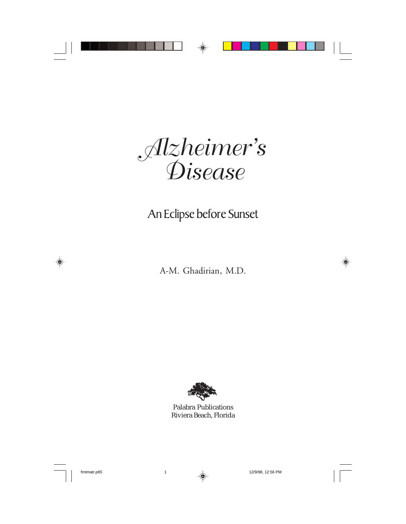*Alzheimer's Disease*

## An Eclipse before Sunset

A-M. Ghadirian, M.D.



Palabra Publications Riviera Beach, Florida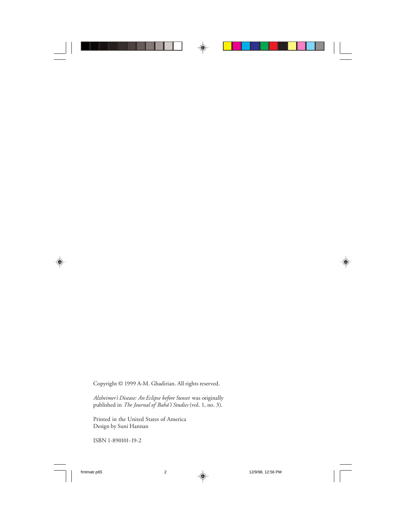Copyright © 1999 A-M. Ghadirian. All rights reserved.

*Alzheimer's Disease: An Eclipse before Sunset* was originally published in *The Journal of Bahá'í Studies* (vol. 1, no. 3).

Printed in the United States of America Design by Suni Hannan

ISBN 1-890101-19-2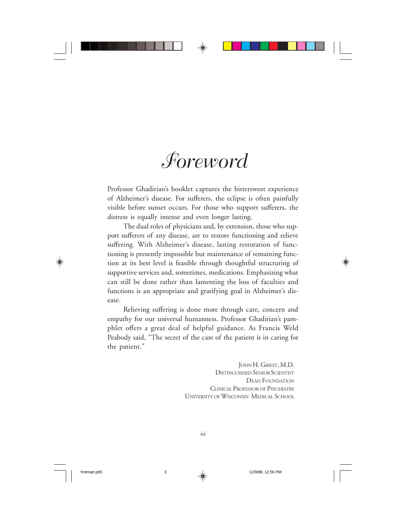# *Foreword*

Professor Ghadirian's booklet captures the bittersweet experience of Alzheimer's disease. For sufferers, the eclipse is often painfully visible before sunset occurs. For those who support sufferers, the distress is equally intense and even longer lasting.

The dual roles of physicians and, by extension, those who support sufferers of any disease, are to restore functioning and relieve suffering. With Alzheimer's disease, lasting restoration of functioning is presently impossible but maintenance of remaining function at its best level is feasible through thoughtful structuring of supportive services and, sometimes, medications. Emphasizing what can still be done rather than lamenting the loss of faculties and functions is an appropriate and gratifying goal in Alzheimer's disease.

Relieving suffering is done more through care, concern and empathy for our universal humanness. Professor Ghadirian's pamphlet offers a great deal of helpful guidance. As Francis Weld Peabody said, "The secret of the care of the patient is in caring for the patient."

> JOHN H. GRIEST, M.D. DISTINGUISHED SENIOR SCIENTIST DEAN FOUNDATION CLINICAL PROFESSOR OF PSYCHIATRY UNIVERSITY OF WISCONSIN MEDICAL SCHOOL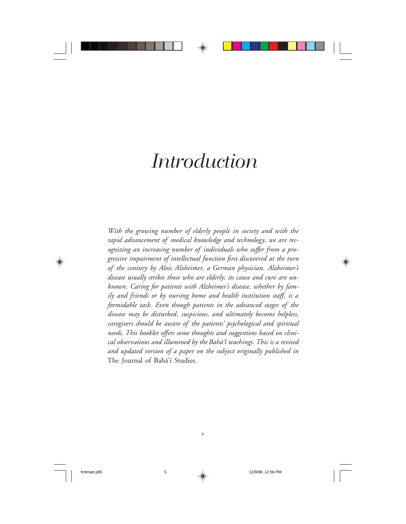## *Introduction*

*With the growing number of elderly people in society and with the rapid advancement of medical knowledge and technology, we are rec*ognizing an increasing number of individuals who suffer from a pro*gressive impairment of intellectual function ³rst discovered at the turn of the century by Alois Alzheimer, a German physician. Alzheimer's disease usually strikes those who are elderly; its cause and cure are unknown. Caring for patients with Alzheimer's disease, whether by fam*ily and friends or by nursing home and health institution staff, is a *formidable task. Even though patients in the advanced stages of the disease may be disturbed, suspicious, and ultimately become helpless, caregivers should be aware of the patients' psychological and spiritual* needs. This booklet offers some thoughts and suggestions based on clini*cal observations and illumined by the Bahá'í teachings. This is a revised and updated version of a paper on the subject originally published in* The Journal of Bahá'í Studies.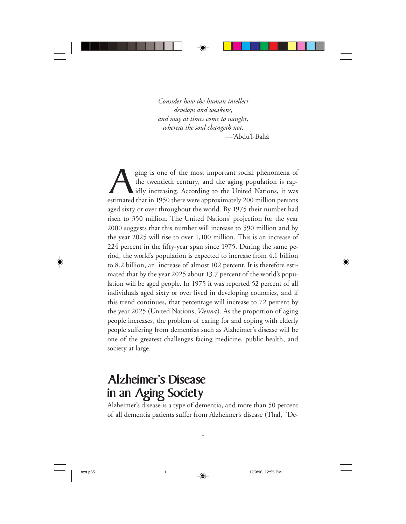*Consider how the human intellect develops and weakens, and may at times come to naught, whereas the soul changeth not.* —'Abdu'l-Bahá

estimated that in 1950 there were approximately 200 million persons and the stimated that in 1950 there were approximately 200 million persons the twentieth century, and the aging population is rapidly increasing. According to the United Nations, it was aged sixty or over throughout the world. By 1975 their number had risen to 350 million. The United Nations' projection for the year 2000 suggests that this number will increase to 590 million and by the year 2025 will rise to over 1,100 million. This is an increase of 224 percent in the fifty-year span since 1975. During the same period, the world's population is expected to increase from 4.1 billion to 8.2 billion, an increase of almost 102 percent. It is therefore estimated that by the year 2025 about 13.7 percent of the world's population will be aged people. In 1975 it was reported 52 percent of all individuals aged sixty or over lived in developing countries, and if this trend continues, that percentage will increase to 72 percent by the year 2025 (United Nations, *Vienna* ). As the proportion of aging people increases, the problem of caring for and coping with elderly people suffering from dementias such as Alzheimer's disease will be one of the greatest challenges facing medicine, public health, and society at large.

## Alzheimer's Disease in an Aging Society

Alzheimer's disease is a type of dementia, and more than 50 percent of all dementia patients suffer from Alzheimer's disease (Thal, "De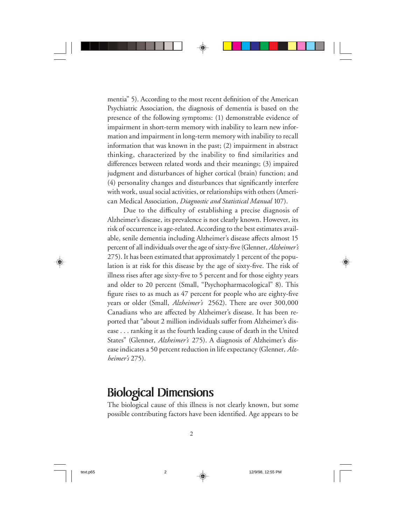mentia" 5). According to the most recent definition of the American Psychiatric Association, the diagnosis of dementia is based on the presence of the following symptoms: (1) demonstrable evidence of impairment in short-term memory with inability to learn new information and impairment in long-term memory with inability to recall information that was known in the past; (2) impairment in abstract thinking, characterized by the inability to find similarities and differences between related words and their meanings; (3) impaired judgment and disturbances of higher cortical (brain) function; and (4) personality changes and disturbances that significantly interfere with work, usual social activities, or relationships with others (American Medical Association, *Diagnostic and Statistical Manual* 107).

Due to the difficulty of establishing a precise diagnosis of Alzheimer's disease, its prevalence is not clearly known. However, its risk of occurrence is age-related. According to the best estimates available, senile dementia including Alzheimer's disease affects almost 15 percent of all individuals over the age of sixty-five (Glenner, *Alzheimer's* 275). It has been estimated that approximately 1 percent of the population is at risk for this disease by the age of sixty-five. The risk of illness rises after age sixty-five to 5 percent and for those eighty years and older to 20 percent (Small, "Psychopharmacological" 8). This figure rises to as much as 47 percent for people who are eighty-five years or older (Small, *Alzheimer's* 2562). There are over 300,000 Canadians who are affected by Alzheimer's disease. It has been reported that "about 2 million individuals suffer from Alzheimer's disease . . . ranking it as the fourth leading cause of death in the United States" (Glenner, *Alzheimer's* 275). A diagnosis of Alzheimer's disease indicates a 50 percent reduction in life expectancy (Glenner, *Alzheimer's* 275).

## Biological Dimensions

The biological cause of this illness is not clearly known, but some possible contributing factors have been identified. Age appears to be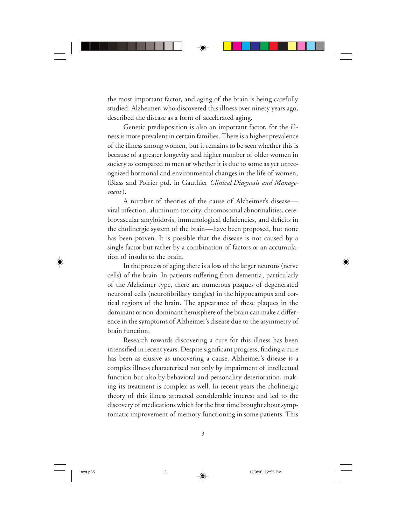the most important factor, and aging of the brain is being carefully studied. Alzheimer, who discovered this illness over ninety years ago, described the disease as a form of accelerated aging.

Genetic predisposition is also an important factor, for the illness is more prevalent in certain families. There is a higher prevalence of the illness among women, but it remains to be seen whether this is because of a greater longevity and higher number of older women in society as compared to men or whether it is due to some as yet unrecognized hormonal and environmental changes in the life of women, (Blass and Poirier ptd. in Gauthier *Clinical Diagnosis and Management* ).

A number of theories of the cause of Alzheimer's disease viral infection, aluminum toxicity, chromosomal abnormalities, cerebrovascular amyloidosis, immunological deficiencies, and deficits in the cholinergic system of the brain—have been proposed, but none has been proven. It is possible that the disease is not caused by a single factor but rather by a combination of factors or an accumulation of insults to the brain.

In the process of aging there is a loss of the larger neurons (nerve cells) of the brain. In patients suffering from dementia, particularly of the Alzheimer type, there are numerous plaques of degenerated neuronal cells (neurofibrillary tangles) in the hippocampus and cortical regions of the brain. The appearance of these plaques in the dominant or non-dominant hemisphere of the brain can make a difference in the symptoms of Alzheimer's disease due to the asymmetry of brain function.

Research towards discovering a cure for this illness has been intensified in recent years. Despite significant progress, finding a cure has been as elusive as uncovering a cause. Alzheimer's disease is a complex illness characterized not only by impairment of intellectual function but also by behavioral and personality deterioration, making its treatment is complex as well. In recent years the cholinergic theory of this illness attracted considerable interest and led to the discovery of medications which for the first time brought about symptomatic improvement of memory functioning in some patients. This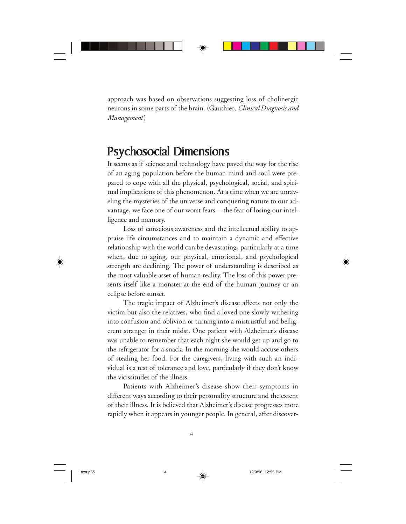approach was based on observations suggesting loss of cholinergic neurons in some parts of the brain. (Gauthier, *Clinical Diagnosis and Management*)

### Psychosocial Dimensions

It seems as if science and technology have paved the way for the rise of an aging population before the human mind and soul were prepared to cope with all the physical, psychological, social, and spiritual implications of this phenomenon. At a time when we are unraveling the mysteries of the universe and conquering nature to our advantage, we face one of our worst fears—the fear of losing our intelligence and memory.

Loss of conscious awareness and the intellectual ability to appraise life circumstances and to maintain a dynamic and effective relationship with the world can be devastating, particularly at a time when, due to aging, our physical, emotional, and psychological strength are declining. The power of understanding is described as the most valuable asset of human reality. The loss of this power presents itself like a monster at the end of the human journey or an eclipse before sunset.

The tragic impact of Alzheimer's disease affects not only the victim but also the relatives, who find a loved one slowly withering into confusion and oblivion or turning into a mistrustful and belligerent stranger in their midst. One patient with Alzheimer's disease was unable to remember that each night she would get up and go to the refrigerator for a snack. In the morning she would accuse others of stealing her food. For the caregivers, living with such an individual is a test of tolerance and love, particularly if they don't know the vicissitudes of the illness.

Patients with Alzheimer's disease show their symptoms in different ways according to their personality structure and the extent of their illness. It is believed that Alzheimer's disease progresses more rapidly when it appears in younger people. In general, after discover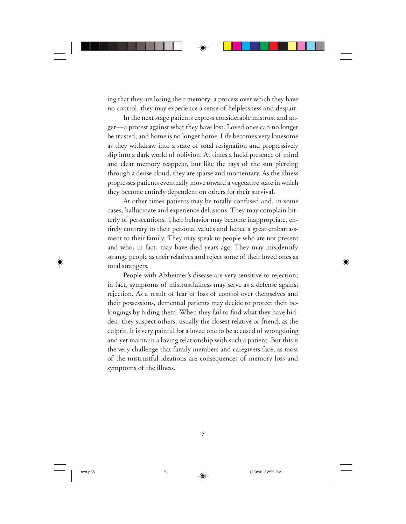ing that they are losing their memory, a process over which they have no control, they may experience a sense of helplessness and despair.

In the next stage patients express considerable mistrust and anger—a protest against what they have lost. Loved ones can no longer be trusted, and home is no longer home. Life becomes very lonesome as they withdraw into a state of total resignation and progressively slip into a dark world of oblivion. At times a lucid presence of mind and clear memory reappear, but like the rays of the sun piercing through a dense cloud, they are sparse and momentary. As the illness progresses patients eventually move toward a vegetative state in which they become entirely dependent on others for their survival.

At other times patients may be totally confused and, in some cases, hallucinate and experience delusions. They may complain bitterly of persecutions. Their behavior may become inappropriate, entirely contrary to their personal values and hence a great embarrassment to their family. They may speak to people who are not present and who, in fact, may have died years ago. They may misidentify strange people as their relatives and reject some of their loved ones as total strangers.

People with Alzheimer's disease are very sensitive to rejection; in fact, symptoms of mistrustfulness may serve as a defense against rejection. As a result of fear of loss of control over themselves and their possessions, demented patients may decide to protect their belongings by hiding them. When they fail to find what they have hidden, they suspect others, usually the closest relative or friend, as the culprit. It is very painful for a loved one to be accused of wrongdoing and yet maintain a loving relationship with such a patient. But this is the very challenge that family members and caregivers face, as most of the mistrustful ideations are consequences of memory loss and symptoms of the illness.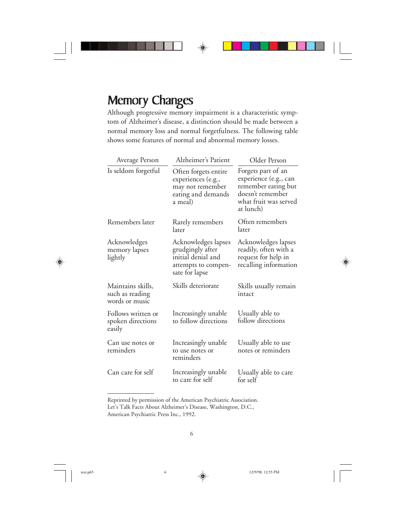## **Memory Changes**

Although progressive memory impairment is a characteristic symptom of Alzheimer's disease, a distinction should be made between a normal memory loss and normal forgetfulness. The following table shows some features of normal and abnormal memory losses.

| Average Person                                         | Alzheimer's Patient                                                                                    | Older Person                                                                                                                 |
|--------------------------------------------------------|--------------------------------------------------------------------------------------------------------|------------------------------------------------------------------------------------------------------------------------------|
| Is seldom forgetful                                    | Often forgets entire<br>experiences (e.g.,<br>may not remember<br>eating and demands<br>a meal)        | Forgets part of an<br>experience (e.g., can<br>remember eating but<br>doesn't remember<br>what fruit was served<br>at lunch) |
| Remembers later                                        | Rarely remembers<br>later                                                                              | Often remembers<br>later                                                                                                     |
| Acknowledges<br>memory lapses<br>lightly               | Acknowledges lapses<br>grudgingly after<br>initial denial and<br>attempts to compen-<br>sate for lapse | Acknowledges lapses<br>readily, often with a<br>request for help in<br>recalling information                                 |
| Maintains skills,<br>such as reading<br>words or music | Skills deteriorate                                                                                     | Skills usually remain<br>intact                                                                                              |
| Follows written or<br>spoken directions<br>easily      | Increasingly unable<br>to follow directions                                                            | Usually able to<br>follow directions                                                                                         |
| Can use notes or<br>reminders                          | Increasingly unable<br>to use notes or<br>reminders                                                    | Usually able to use<br>notes or reminders                                                                                    |
| Can care for self                                      | Increasingly unable<br>to care for self                                                                | Usually able to care<br>for self                                                                                             |

Reprinted by permission of the American Psychiatric Association. Let's Talk Facts About Alzheimer's Disease, Washington, D.C.,

American Psychiatric Press Inc., 1992.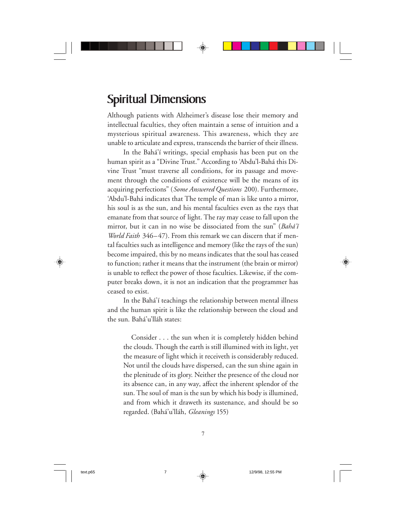## Spiritual Dimensions

Although patients with Alzheimer's disease lose their memory and intellectual faculties, they often maintain a sense of intuition and a mysterious spiritual awareness. This awareness, which they are unable to articulate and express, transcends the barrier of their illness.

In the Bahá'í writings, special emphasis has been put on the human spirit as a "Divine Trust." According to 'Abdu'l-Bahá this Divine Trust "must traverse all conditions, for its passage and movement through the conditions of existence will be the means of its acquiring perfections" (*Some Answered Questions* 200). Furthermore, 'Abdu'l-Bahá indicates that The temple of man is like unto a mirror, his soul is as the sun, and his mental faculties even as the rays that emanate from that source of light. The ray may cease to fall upon the mirror, but it can in no wise be dissociated from the sun" (*Bahá'í World Faith* 346–47). From this remark we can discern that if mental faculties such as intelligence and memory (like the rays of the sun) become impaired, this by no means indicates that the soul has ceased to function; rather it means that the instrument (the brain or mirror) is unable to reflect the power of those faculties. Likewise, if the computer breaks down, it is not an indication that the programmer has ceased to exist.

In the Bahá'í teachings the relationship between mental illness and the human spirit is like the relationship between the cloud and the sun. Bahá'u'lláh states:

Consider . . . the sun when it is completely hidden behind the clouds. Though the earth is still illumined with its light, yet the measure of light which it receiveth is considerably reduced. Not until the clouds have dispersed, can the sun shine again in the plenitude of its glory. Neither the presence of the cloud nor its absence can, in any way, affect the inherent splendor of the sun. The soul of man is the sun by which his body is illumined, and from which it draweth its sustenance, and should be so regarded. (Bahá'u'lláh, *Gleanings* 155)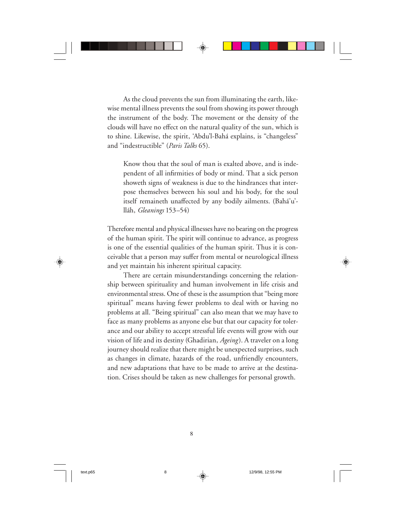As the cloud prevents the sun from illuminating the earth, likewise mental illness prevents the soul from showing its power through the instrument of the body. The movement or the density of the clouds will have no effect on the natural quality of the sun, which is to shine. Likewise, the spirit, 'Abdu'l-Bahá explains, is "changeless" and "indestructible" (*Paris Talks* 65).

Know thou that the soul of man is exalted above, and is independent of all infirmities of body or mind. That a sick person showeth signs of weakness is due to the hindrances that interpose themselves between his soul and his body, for the soul itself remaineth unaffected by any bodily ailments. (Bahá'u'lláh, *Gleanings* 153–54)

Therefore mental and physical illnesses have no bearing on the progress of the human spirit. The spirit will continue to advance, as progress is one of the essential qualities of the human spirit. Thus it is conceivable that a person may suffer from mental or neurological illness and yet maintain his inherent spiritual capacity.

There are certain misunderstandings concerning the relationship between spirituality and human involvement in life crisis and environmental stress. One of these is the assumption that "being more spiritual" means having fewer problems to deal with or having no problems at all. "Being spiritual" can also mean that we may have to face as many problems as anyone else but that our capacity for tolerance and our ability to accept stressful life events will grow with our vision of life and its destiny (Ghadirian, *Ageing*). A traveler on a long journey should realize that there might be unexpected surprises, such as changes in climate, hazards of the road, unfriendly encounters, and new adaptations that have to be made to arrive at the destination. Crises should be taken as new challenges for personal growth.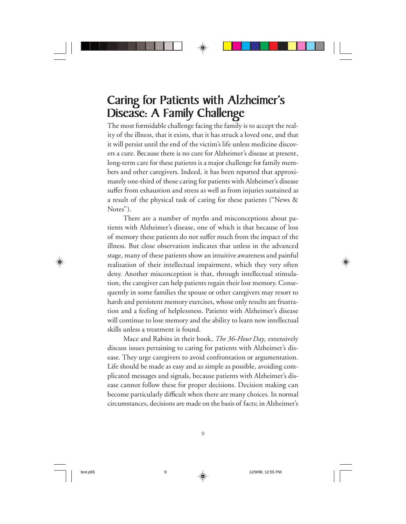## Caring for Patients with Alzheimer's Disease: A Family Challenge

The most formidable challenge facing the family is to accept the reality of the illness, that it exists, that it has struck a loved one, and that it will persist until the end of the victim's life unless medicine discovers a cure. Because there is no cure for Alzheimer's disease at present, long-term care for these patients is a major challenge for family members and other caregivers. Indeed, it has been reported that approximately one-third of those caring for patients with Alzheimer's disease suffer from exhaustion and stress as well as from injuries sustained as a result of the physical task of caring for these patients ("News & Notes").

There are a number of myths and misconceptions about patients with Alzheimer's disease, one of which is that because of loss of memory these patients do not suffer much from the impact of the illness. But close observation indicates that unless in the advanced stage, many of these patients show an intuitive awareness and painful realization of their intellectual impairment, which they very often deny. Another misconception is that, through intellectual stimulation, the caregiver can help patients regain their lost memory. Consequently in some families the spouse or other caregivers may resort to harsh and persistent memory exercises, whose only results are frustration and a feeling of helplessness. Patients with Alzheimer's disease will continue to lose memory and the ability to learn new intellectual skills unless a treatment is found.

Mace and Rabins in their book, *The 36-Hour Day,* extensively discuss issues pertaining to caring for patients with Alzheimer's disease. They urge caregivers to avoid confrontation or argumentation. Life should be made as easy and as simple as possible, avoiding complicated messages and signals, because patients with Alzheimer's disease cannot follow these for proper decisions. Decision making can become particularly difficult when there are many choices. In normal circumstances, decisions are made on the basis of facts; in Alzheimer's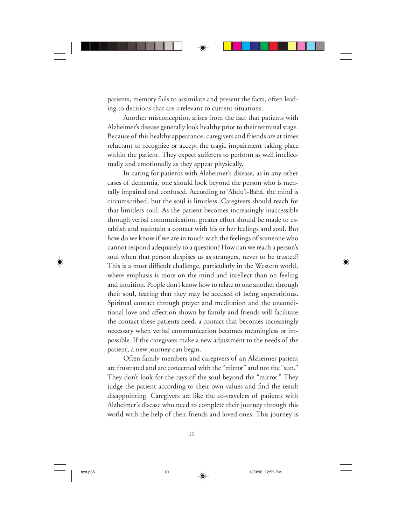patients, memory fails to assimilate and present the facts, often leading to decisions that are irrelevant to current situations.

Another misconception arises from the fact that patients with Alzheimer's disease generally look healthy prior to their terminal stage. Because of this healthy appearance, caregivers and friends are at times reluctant to recognize or accept the tragic impairment taking place within the patient. They expect sufferers to perform as well intellectually and emotionally as they appear physically.

In caring for patients with Alzheimer's disease, as in any other cases of dementia, one should look beyond the person who is mentally impaired and confused. According to 'Abdu'l-Bahá, the mind is circumscribed, but the soul is limitless. Caregivers should reach for that limitless soul. As the patient becomes increasingly inaccessible through verbal communication, greater effort should be made to establish and maintain a contact with his or her feelings and soul. But how do we know if we are in touch with the feelings of someone who cannot respond adequately to a question? How can we reach a person's soul when that person despises us as strangers, never to be trusted? This is a most difficult challenge, particularly in the Western world, where emphasis is more on the mind and intellect than on feeling and intuition. People don't know how to relate to one another through their soul, fearing that they may be accused of being superstitious. Spiritual contact through prayer and meditation and the unconditional love and affection shown by family and friends will facilitate the contact these patients need, a contact that becomes increasingly necessary when verbal communication becomes meaningless or impossible. If the caregivers make a new adjustment to the needs of the patient, a new journey can begin.

Often family members and caregivers of an Alzheimer patient are frustrated and are concerned with the "mirror" and not the "sun." They don't look for the rays of the soul beyond the "mirror." They judge the patient according to their own values and find the result disappointing. Caregivers are like the co-travelers of patients with Alzheimer's disease who need to complete their journey through this world with the help of their friends and loved ones. This journey is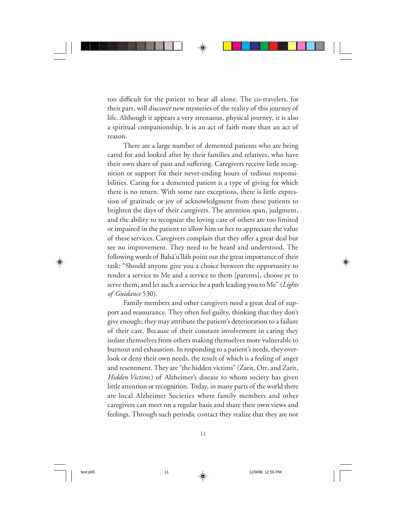too difficult for the patient to bear all alone. The co-travelers, for their part, will discover new mysteries of the reality of this journey of life. Although it appears a very strenuous, physical journey, it is also a spiritual companionship. It is an act of faith more than an act of reason.

There are a large number of demented patients who are being cared for and looked after by their families and relatives, who have their own share of pain and suffering. Caregivers receive little recognition or support for their never-ending hours of tedious responsibilities. Caring for a demented patient is a type of giving for which there is no return. With some rare exceptions, there is little expression of gratitude or joy of acknowledgment from these patients to brighten the days of their caregivers. The attention span, judgment, and the ability to recognize the loving care of others are too limited or impaired in the patient to allow him or her to appreciate the value of these services. Caregivers complain that they offer a great deal but see no improvement. They need to be heard and understood. The following words of Bahá'u'lláh point out the great importance of their task: "Should anyone give you a choice between the opportunity to render a service to Me and a service to them [parents], choose ye to serve them, and let such a service be a path leading you to Me" (*Lights of Guidance* 530).

Family members and other caregivers need a great deal of support and reassurance. They often feel guilty, thinking that they don't give enough; they may attribute the patient's deterioration to a failure of their care. Because of their constant involvement in caring they isolate themselves from others making themselves more vulnerable to burnout and exhaustion. In responding to a patient's needs, they overlook or deny their own needs, the result of which is a feeling of anger and resentment. They are "the hidden victims" (Zarit, Orr, and Zarit, *Hidden Victims*) of Alzheimer's disease to whom society has given little attention or recognition. Today, in many parts of the world there are local Alzheimer Societies where family members and other caregivers can meet on a regular basis and share their own views and feelings. Through such periodic contact they realize that they are not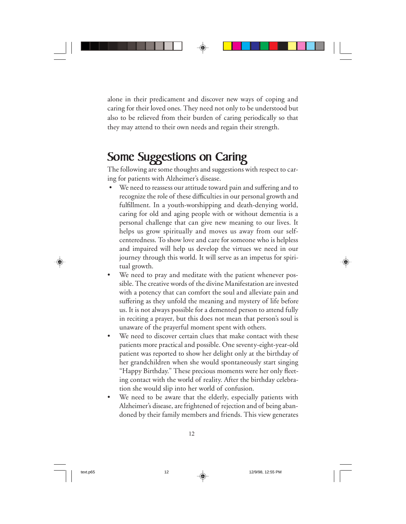alone in their predicament and discover new ways of coping and caring for their loved ones. They need not only to be understood but also to be relieved from their burden of caring periodically so that they may attend to their own needs and regain their strength.

### Some Suggestions on Caring

The following are some thoughts and suggestions with respect to caring for patients with Alzheimer's disease.

- We need to reassess our attitude toward pain and suffering and to recognize the role of these difficulties in our personal growth and fulfillment. In a youth-worshipping and death-denying world, caring for old and aging people with or without dementia is a personal challenge that can give new meaning to our lives. It helps us grow spiritually and moves us away from our selfcenteredness. To show love and care for someone who is helpless and impaired will help us develop the virtues we need in our journey through this world. It will serve as an impetus for spiritual growth.
- We need to pray and meditate with the patient whenever possible. The creative words of the divine Manifestation are invested with a potency that can comfort the soul and alleviate pain and suffering as they unfold the meaning and mystery of life before us. It is not always possible for a demented person to attend fully in reciting a prayer, but this does not mean that person's soul is unaware of the prayerful moment spent with others.
- We need to discover certain clues that make contact with these patients more practical and possible. One seventy-eight-year-old patient was reported to show her delight only at the birthday of her grandchildren when she would spontaneously start singing "Happy Birthday." These precious moments were her only fleeting contact with the world of reality. After the birthday celebration she would slip into her world of confusion.
- We need to be aware that the elderly, especially patients with Alzheimer's disease, are frightened of rejection and of being abandoned by their family members and friends. This view generates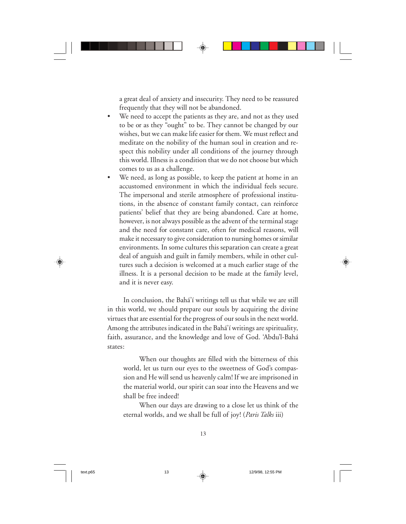a great deal of anxiety and insecurity. They need to be reassured frequently that they will not be abandoned.

- We need to accept the patients as they are, and not as they used to be or as they "ought" to be. They cannot be changed by our wishes, but we can make life easier for them. We must reflect and meditate on the nobility of the human soul in creation and respect this nobility under all conditions of the journey through this world. Illness is a condition that we do not choose but which comes to us as a challenge.
- We need, as long as possible, to keep the patient at home in an accustomed environment in which the individual feels secure. The impersonal and sterile atmosphere of professional institutions, in the absence of constant family contact, can reinforce patients' belief that they are being abandoned. Care at home, however, is not always possible as the advent of the terminal stage and the need for constant care, often for medical reasons, will make it necessary to give consideration to nursing homes or similar environments. In some cultures this separation can create a great deal of anguish and guilt in family members, while in other cultures such a decision is welcomed at a much earlier stage of the illness. It is a personal decision to be made at the family level, and it is never easy.

In conclusion, the Bahá'í writings tell us that while we are still in this world, we should prepare our souls by acquiring the divine virtues that are essential for the progress of our souls in the next world. Among the attributes indicated in the Bahá'í writings are spirituality, faith, assurance, and the knowledge and love of God. 'Abdu'l-Bahá states:

When our thoughts are filled with the bitterness of this world, let us turn our eyes to the sweetness of God's compassion and He will send us heavenly calm! If we are imprisoned in the material world, our spirit can soar into the Heavens and we shall be free indeed!

When our days are drawing to a close let us think of the eternal worlds, and we shall be full of joy! (*Paris Talks* iii)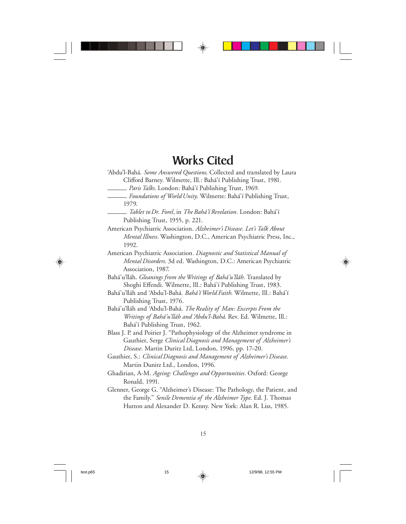#### Works Cited

'Abdu'l-Bahá. *Some Answered Questions*. Collected and translated by Laura Clifford Barney. Wilmette, Ill.: Bahá'í Publishing Trust, 1981.

MMM. *Paris Talks*. London: Bahá'í Publishing Trust, 1969.

- MMM. *Tablet to Dr. Forel,* in *The Bahá'í Revelation.* London: Bahá'í Publishing Trust, 1955, p. 221.
- American Psychiatric Association. *Alzheimer's Disease. Let's Talk About Mental Illness.* Washington, D.C., American Psychiatric Press, Inc., 1992.
- American Psychiatric Association*. Diagnostic and Statistical Manual of Mental Disorders*. 3d ed. Washington, D.C.: American Psychiatric Association, 1987.
- Bahá'u'lláh. *Gleanings from the Writings of Bahá'u'lláh.* Translated by Shoghi Effendi. Wilmette, Ill.: Bahá'í Publishing Trust, 1983.
- Bahá'u'lláh and 'Abdu'l-Bahá. *Bahá'í World Faith*. Wilmette, Ill.: Bahá'í Publishing Trust, 1976.
- Bahá'u'lláh and 'Abdu'l-Bahá. *The Reality of Man: Excerpts From the Writings of Bahá'u'lláh and 'Abdu'l-Bahá*. Rev. Ed. Wilmette, Ill.: Bahá'í Publishing Trust, 1962.
- Blass J. P. and Poirier J. "Pathophysiology of the Alzheimer syndrome in Gauthier, Serge *Clinical Diagnosis and Management of Alzheimer's Disease.* Martin Duritz Ltd, London, 1996, pp. 17–20.
- Gauthier, S.: *Clinical Diagnosis and Management of Alzheimer's Disease*. Martin Dunitz Ltd., London, 1996.
- Ghadirian, A-M. *Ageing: Challenges and Opportunities.* Oxford: George Ronald, 1991.
- Glenner, George G. "Alzheimer's Disease: The Pathology, the Patient, and the Family." *Senile Dementia of the Alzheimer Type*. Ed. J. Thomas Hutton and Alexander D. Kenny. New York: Alan R. Liss, 1985.

MMM. *Foundations of World Unity*. Wilmette: Bahá'í Publishing Trust, 1979.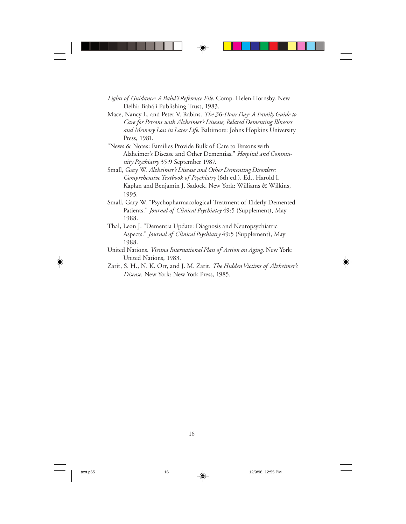- *Lights of Guidance: A Bahá'í Reference File*. Comp. Helen Hornsby. New Delhi: Bahá'í Publishing Trust, 1983.
- Mace, Nancy L. and Peter V. Rabins. *The 36-Hour Day: A Family Guide to Care for Persons with Alzheimer's Disease, Related Dementing Illnesses and Memory Loss in Later Life*. Baltimore: Johns Hopkins University Press, 1981.
- "News & Notes: Families Provide Bulk of Care to Persons with Alzheimer's Disease and Other Dementias." *Hospital and Community Psychiatry* 35:9 September 1987.
- Small, Gary W. *Alzheimer's Disease and Other Dementing Disorders: Comprehensive Textbook of Psychiatry* (6th ed.). Ed., Harold I. Kaplan and Benjamin J. Sadock. New York: Williams & Wilkins, 1995.
- Small, Gary W. "Psychopharmacological Treatment of Elderly Demented Patients." *Journal of Clinical Psychiatry* 49:5 (Supplement), May 1988.
- Thal, Leon J. "Dementia Update: Diagnosis and Neuropsychiatric Aspects." *Journal of Clinical Psychiatry* 49:5 (Supplement), May 1988.
- United Nations. *Vienna International Plan of Action on Aging*. New York: United Nations, 1983.
- Zarit, S. H., N. K. Orr, and J. M. Zarit. *The Hidden Victims of Alzheimer's Disease*. New York: New York Press, 1985.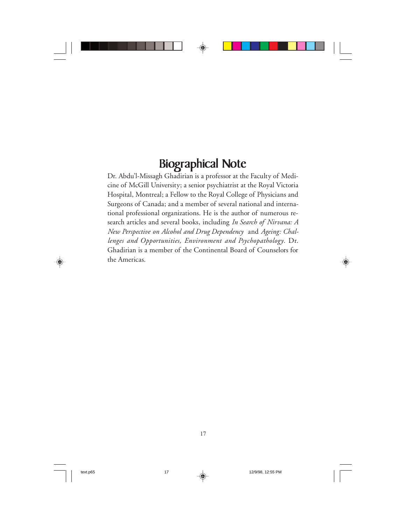## Biographical Note

Dr. Abdu'l-Missagh Ghadirian is a professor at the Faculty of Medicine of McGill University; a senior psychiatrist at the Royal Victoria Hospital, Montreal; a Fellow to the Royal College of Physicians and Surgeons of Canada; and a member of several national and international professional organizations. He is the author of numerous research articles and several books, including *In Search of Nirvana: A New Perspective on Alcohol and Drug Dependency* and *Ageing: Challenges and Opportunities, Environment and Psychopathology.* Dr. Ghadirian is a member of the Continental Board of Counselors for the Americas.